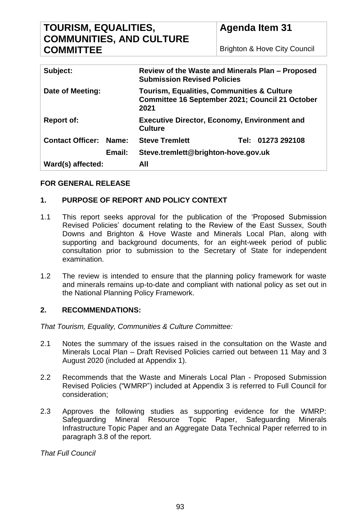# **TOURISM, EQUALITIES, COMMUNITIES, AND CULTURE COMMITTEE**

| Subject:                |        | Review of the Waste and Minerals Plan - Proposed<br><b>Submission Revised Policies</b>                                  |  |                   |
|-------------------------|--------|-------------------------------------------------------------------------------------------------------------------------|--|-------------------|
| Date of Meeting:        |        | <b>Tourism, Equalities, Communities &amp; Culture</b><br><b>Committee 16 September 2021; Council 21 October</b><br>2021 |  |                   |
| <b>Report of:</b>       |        | <b>Executive Director, Economy, Environment and</b><br><b>Culture</b>                                                   |  |                   |
| <b>Contact Officer:</b> | Name:  | <b>Steve Tremlett</b>                                                                                                   |  | Tel: 01273 292108 |
|                         | Email: | Steve.tremlett@brighton-hove.gov.uk                                                                                     |  |                   |
| Ward(s) affected:       |        | All                                                                                                                     |  |                   |

# **FOR GENERAL RELEASE**

# **1. PURPOSE OF REPORT AND POLICY CONTEXT**

- 1.1 This report seeks approval for the publication of the 'Proposed Submission Revised Policies' document relating to the Review of the East Sussex, South Downs and Brighton & Hove Waste and Minerals Local Plan, along with supporting and background documents, for an eight-week period of public consultation prior to submission to the Secretary of State for independent examination.
- 1.2 The review is intended to ensure that the planning policy framework for waste and minerals remains up-to-date and compliant with national policy as set out in the National Planning Policy Framework.

#### **2. RECOMMENDATIONS:**

*That Tourism, Equality, Communities & Culture Committee:*

- 2.1 Notes the summary of the issues raised in the consultation on the Waste and Minerals Local Plan – Draft Revised Policies carried out between 11 May and 3 August 2020 (included at Appendix 1).
- 2.2 Recommends that the Waste and Minerals Local Plan Proposed Submission Revised Policies ("WMRP") included at Appendix 3 is referred to Full Council for consideration;
- 2.3 Approves the following studies as supporting evidence for the WMRP: Safeguarding Mineral Resource Topic Paper, Safeguarding Minerals Infrastructure Topic Paper and an Aggregate Data Technical Paper referred to in paragraph 3.8 of the report.

*That Full Council*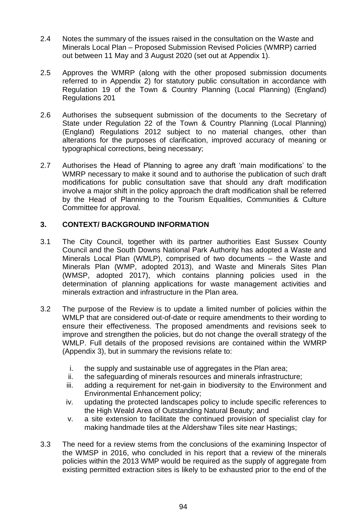- 2.4 Notes the summary of the issues raised in the consultation on the Waste and Minerals Local Plan – Proposed Submission Revised Policies (WMRP) carried out between 11 May and 3 August 2020 (set out at Appendix 1).
- 2.5 Approves the WMRP (along with the other proposed submission documents referred to in Appendix 2) for statutory public consultation in accordance with Regulation 19 of the Town & Country Planning (Local Planning) (England) Regulations 201
- 2.6 Authorises the subsequent submission of the documents to the Secretary of State under Regulation 22 of the Town & Country Planning (Local Planning) (England) Regulations 2012 subject to no material changes, other than alterations for the purposes of clarification, improved accuracy of meaning or typographical corrections, being necessary;
- 2.7 Authorises the Head of Planning to agree any draft 'main modifications' to the WMRP necessary to make it sound and to authorise the publication of such draft modifications for public consultation save that should any draft modification involve a major shift in the policy approach the draft modification shall be referred by the Head of Planning to the Tourism Equalities, Communities & Culture Committee for approval.

# **3. CONTEXT/ BACKGROUND INFORMATION**

- 3.1 The City Council, together with its partner authorities East Sussex County Council and the South Downs National Park Authority has adopted a Waste and Minerals Local Plan (WMLP), comprised of two documents – the Waste and Minerals Plan (WMP, adopted 2013), and Waste and Minerals Sites Plan (WMSP, adopted 2017), which contains planning policies used in the determination of planning applications for waste management activities and minerals extraction and infrastructure in the Plan area.
- 3.2 The purpose of the Review is to update a limited number of policies within the WMLP that are considered out-of-date or require amendments to their wording to ensure their effectiveness. The proposed amendments and revisions seek to improve and strengthen the policies, but do not change the overall strategy of the WMLP. Full details of the proposed revisions are contained within the WMRP (Appendix 3), but in summary the revisions relate to:
	- i. the supply and sustainable use of aggregates in the Plan area;
	- ii. the safeguarding of minerals resources and minerals infrastructure;
	- iii. adding a requirement for net-gain in biodiversity to the Environment and Environmental Enhancement policy;
	- iv. updating the protected landscapes policy to include specific references to the High Weald Area of Outstanding Natural Beauty; and
	- v. a site extension to facilitate the continued provision of specialist clay for making handmade tiles at the Aldershaw Tiles site near Hastings;
- 3.3 The need for a review stems from the conclusions of the examining Inspector of the WMSP in 2016, who concluded in his report that a review of the minerals policies within the 2013 WMP would be required as the supply of aggregate from existing permitted extraction sites is likely to be exhausted prior to the end of the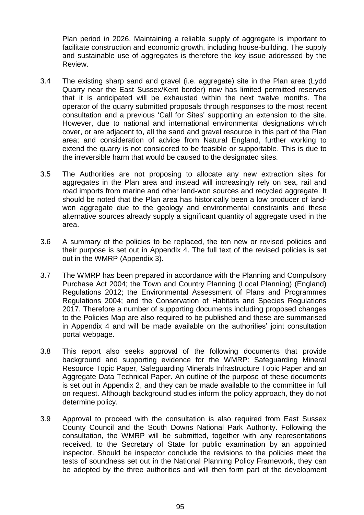Plan period in 2026. Maintaining a reliable supply of aggregate is important to facilitate construction and economic growth, including house-building. The supply and sustainable use of aggregates is therefore the key issue addressed by the Review.

- 3.4 The existing sharp sand and gravel (i.e. aggregate) site in the Plan area (Lydd Quarry near the East Sussex/Kent border) now has limited permitted reserves that it is anticipated will be exhausted within the next twelve months. The operator of the quarry submitted proposals through responses to the most recent consultation and a previous 'Call for Sites' supporting an extension to the site. However, due to national and international environmental designations which cover, or are adjacent to, all the sand and gravel resource in this part of the Plan area; and consideration of advice from Natural England, further working to extend the quarry is not considered to be feasible or supportable. This is due to the irreversible harm that would be caused to the designated sites.
- 3.5 The Authorities are not proposing to allocate any new extraction sites for aggregates in the Plan area and instead will increasingly rely on sea, rail and road imports from marine and other land-won sources and recycled aggregate. It should be noted that the Plan area has historically been a low producer of landwon aggregate due to the geology and environmental constraints and these alternative sources already supply a significant quantity of aggregate used in the area.
- 3.6 A summary of the policies to be replaced, the ten new or revised policies and their purpose is set out in Appendix 4. The full text of the revised policies is set out in the WMRP (Appendix 3).
- 3.7 The WMRP has been prepared in accordance with the Planning and Compulsory Purchase Act 2004; the Town and Country Planning (Local Planning) (England) Regulations 2012; the Environmental Assessment of Plans and Programmes Regulations 2004; and the Conservation of Habitats and Species Regulations 2017. Therefore a number of supporting documents including proposed changes to the Policies Map are also required to be published and these are summarised in Appendix 4 and will be made available on the authorities' joint consultation portal webpage.
- 3.8 This report also seeks approval of the following documents that provide background and supporting evidence for the WMRP: Safeguarding Mineral Resource Topic Paper, Safeguarding Minerals Infrastructure Topic Paper and an Aggregate Data Technical Paper. An outline of the purpose of these documents is set out in Appendix 2, and they can be made available to the committee in full on request. Although background studies inform the policy approach, they do not determine policy.
- 3.9 Approval to proceed with the consultation is also required from East Sussex County Council and the South Downs National Park Authority. Following the consultation, the WMRP will be submitted, together with any representations received, to the Secretary of State for public examination by an appointed inspector. Should be inspector conclude the revisions to the policies meet the tests of soundness set out in the National Planning Policy Framework, they can be adopted by the three authorities and will then form part of the development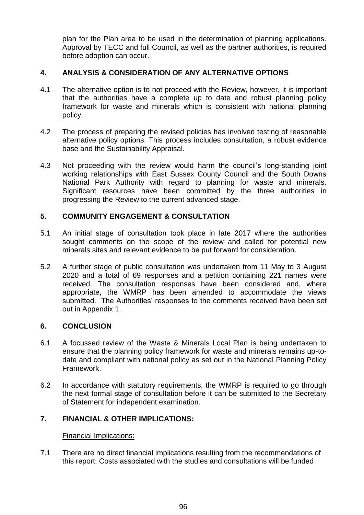plan for the Plan area to be used in the determination of planning applications. Approval by TECC and full Council, as well as the partner authorities, is required before adoption can occur.

### **4. ANALYSIS & CONSIDERATION OF ANY ALTERNATIVE OPTIONS**

- 4.1 The alternative option is to not proceed with the Review, however, it is important that the authorities have a complete up to date and robust planning policy framework for waste and minerals which is consistent with national planning policy.
- 4.2 The process of preparing the revised policies has involved testing of reasonable alternative policy options. This process includes consultation, a robust evidence base and the Sustainability Appraisal.
- 4.3 Not proceeding with the review would harm the council's long-standing joint working relationships with East Sussex County Council and the South Downs National Park Authority with regard to planning for waste and minerals. Significant resources have been committed by the three authorities in progressing the Review to the current advanced stage.

#### **5. COMMUNITY ENGAGEMENT & CONSULTATION**

- 5.1 An initial stage of consultation took place in late 2017 where the authorities sought comments on the scope of the review and called for potential new minerals sites and relevant evidence to be put forward for consideration.
- 5.2 A further stage of public consultation was undertaken from 11 May to 3 August 2020 and a total of 69 responses and a petition containing 221 names were received. The consultation responses have been considered and, where appropriate, the WMRP has been amended to accommodate the views submitted. The Authorities' responses to the comments received have been set out in Appendix 1.

#### **6. CONCLUSION**

- 6.1 A focussed review of the Waste & Minerals Local Plan is being undertaken to ensure that the planning policy framework for waste and minerals remains up-todate and compliant with national policy as set out in the National Planning Policy Framework.
- 6.2 In accordance with statutory requirements, the WMRP is required to go through the next formal stage of consultation before it can be submitted to the Secretary of Statement for independent examination.

# **7. FINANCIAL & OTHER IMPLICATIONS:**

#### Financial Implications:

7.1 There are no direct financial implications resulting from the recommendations of this report. Costs associated with the studies and consultations will be funded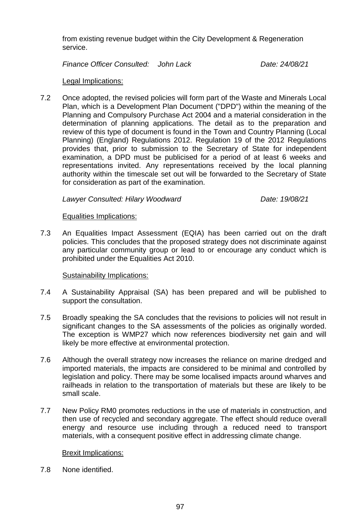from existing revenue budget within the City Development & Regeneration service.

*Finance Officer Consulted: John Lack Date: 24/08/21*

#### Legal Implications:

7.2 Once adopted, the revised policies will form part of the Waste and Minerals Local Plan, which is a Development Plan Document ("DPD") within the meaning of the Planning and Compulsory Purchase Act 2004 and a material consideration in the determination of planning applications. The detail as to the preparation and review of this type of document is found in the Town and Country Planning (Local Planning) (England) Regulations 2012. Regulation 19 of the 2012 Regulations provides that, prior to submission to the Secretary of State for independent examination, a DPD must be publicised for a period of at least 6 weeks and representations invited. Any representations received by the local planning authority within the timescale set out will be forwarded to the Secretary of State for consideration as part of the examination.

*Lawyer Consulted: Hilary Woodward Date: 19/08/21*

#### Equalities Implications:

7.3 An Equalities Impact Assessment (EQIA) has been carried out on the draft policies. This concludes that the proposed strategy does not discriminate against any particular community group or lead to or encourage any conduct which is prohibited under the Equalities Act 2010.

#### Sustainability Implications:

- 7.4 A Sustainability Appraisal (SA) has been prepared and will be published to support the consultation.
- 7.5 Broadly speaking the SA concludes that the revisions to policies will not result in significant changes to the SA assessments of the policies as originally worded. The exception is WMP27 which now references biodiversity net gain and will likely be more effective at environmental protection.
- 7.6 Although the overall strategy now increases the reliance on marine dredged and imported materials, the impacts are considered to be minimal and controlled by legislation and policy. There may be some localised impacts around wharves and railheads in relation to the transportation of materials but these are likely to be small scale.
- 7.7 New Policy RM0 promotes reductions in the use of materials in construction, and then use of recycled and secondary aggregate. The effect should reduce overall energy and resource use including through a reduced need to transport materials, with a consequent positive effect in addressing climate change.

# Brexit Implications:

7.8 None identified.